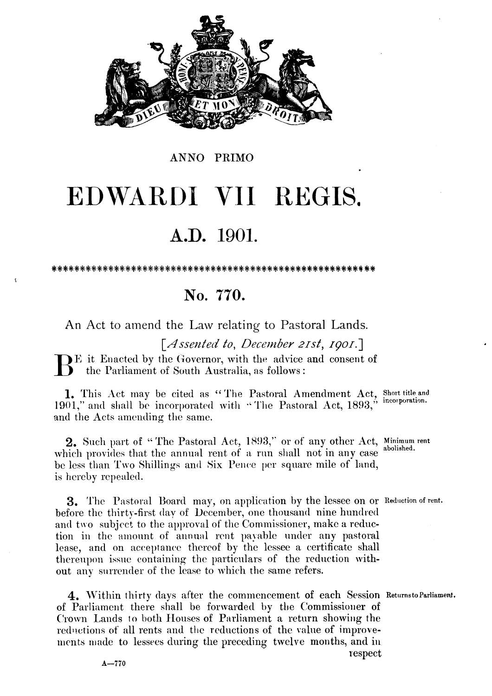

#### ANNO PRIMO

## EDWARDI VII REGIS.

## A.D. 1901.

\*\*\*\*\*\*\*\*\*\*\*\*\*\*\*\*\*\*\*\*\*\*\*\*\*\*\*\*\* \*\*\*\*\*\*\*\*\*\*\*\*\*\*\*\*\*\*\*\*\*

## No. 770.

An Act to amend the Law relating to Pastoral Lands.

[Assented to, December 21st, 1901.]

BE it Enacted by the Governor, with the advice and consent of<br>
the Parliament of South Australia, as follows:

1. This Act may be cited as "The Pastoral Amendment Act, Short title and 1901," and shall be incorporated with "The Pastoral Act, 1893," and the Acts amending the same.

2. Such part of "The Pastoral Act, 1893," or of any other Act, Minimum rent which provides that the annual rent of a run shall not in any case be less than Two Shillings and Six Pence per square mile of land, is hereby repealed.

**3.** The Pastoral Board may, on application by the lessee on or Reduction of rent. before the thirty-first day of December, one thousand nine hundred and two subject to the approval of the Commissioner, make a reduction in the amount of annual rent payable under any pastoral lease, and on acceptance thereof by the lessee a certificate shall thereupon issue containing the particulars of the reduction without any surrender of the lease to which the same refers.

4. Within thirty days after the commencement of each Session Returns to Parliament. of Parliament there shall be forwarded by the Commissioner of Crown Lands to both Houses of Parliament a return showing the reductions of all rents and the reductions of the value of improvements made to lessees during the preceding twelve months, and in respect

incorporation.

abolished.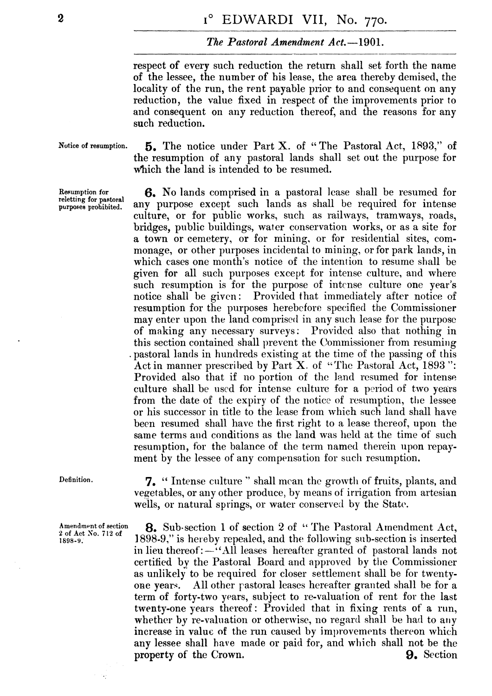# **I**<sup>°</sup> EDWARDI VII, No. 770.<br>*The Pastoral Amendment Act.* -1901.

respect of every such reduction the return shall set forth the name of the lessee, the number of his lease, the area thereby demisecl, the locality of the run, the rent payable prior to and consequent on any reduction, the value fixed in respect of the improvements prior to and consequent on any reduction thereof, and the reasons for any such reduction.

reletting for pastoral<br>purposes prohibited.

**Notice of resumption.** 5, The notice under Part X. of " The Pastoral Act, **1893,"** of the resumption of any pastoral lands shall set out the purpose for which the land is intended to be resumed.

**Resumption for 6.** No lands comprised in a pastoral lease shall be resumed for any purpose except such lands as shall be required for intense culture, or for public works, such as railways. tramways, roads, bridges, public buildings, water conservation works, or as a site for a town or cemetery, or for mining, or for residential sites, commonage, or other purposes incidental to mining, or for park lands, in which cases one month's notice of the intention to resume shall be given for all such purposes except for intense culture, and where such resumption is for the purpose of intense culture one year's notice shall be given: Provided that immediately after notice of resumption for the purposes herebcforc specified the Commissioner may enter upon the land comprised in any such lease for the purpose of making any necessary surveys: Provided also that nothing in this section contained shall prevent the Commissioner from resuming . pastoral lands in hundreds existing at the time of the passing of this Act in manner prescribed by Part X. of "'l'he Pastoral Act, **1893** ": Provided also that if no portion of the lend resumed for intense culture shall be used for intense culture for a period of two years from the date of the expiry of the notice of resumption, the lessee or his successor in title to the lease from which such land shall have been resumed shall have the first right to a lease thereof, upon the same terms and conditions as the land was held at the time of such resumption, for the balance of the term named therein upon repayment by the lessee of any compensation for such resumption.

**Definition. 7.** " Intense culture " shall mean the growth of fruits, plants, and vegetables, or any other produce, by means of irrigation from artesian wells, or natural springs, or water conserved by the State.

Amendment of section **8.** Sub-section 1 of section 2 of "The Pastoral Amendment Act, <br><sup>2</sup> of Act No. 712 of **1898-9**," is hereby repealed, and the following sub-section is inserted **3.** Sub-section 1 of section 2 of  $\theta$  The Tastoral Amendment Act, 1898-9," is hereby repealed, and the following sub-section is inserted in lieu thereof:  $-\theta$ All leases hereafter granted of pastoral lands not certified by the Pastoral Board and approved by the Commissioner as unlikely' to be required for closer settlement shall be for twentyone years. All other rastoral leases hereafter granted shall be for a term of forty-two years, subject to re-valuation of rent for the last twenty-one years thereof: Provided that in fixing rents of a run, whether by re-valuation or otherwise, no regard shall be had to any increase in value of the run caused by improvements thereon which any lessee shall hare made or paid for, and which shall not be the property of the Crown.  $\qquad \qquad \qquad \qquad \textbf{Q. Section}$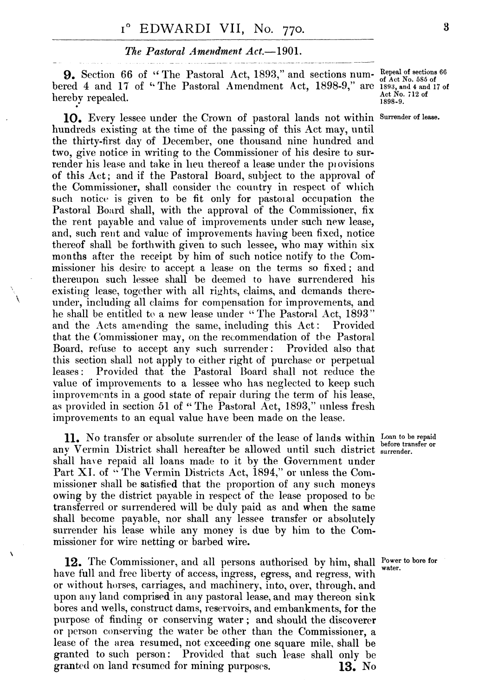#### *The Pastoral Amendment Act.* --1901.

**9.** Section 66 of "The Pastoral Act, 1893," and sections num-  $^{\text{Repeal of sections 66}}_{\text{of } \text{Act No. 585 of}}$ bered 4 and 17 of "The Pastoral Amendment Act, 1898-9," are 1893, and 4 and 17 of bereby reported hereby repealed. Acc<sub>1898-9</sub>.

10. Every lessee under the Crown of pastoral lands not within Surrender of lease. hundreds existing at the time of the passing of this Act may, until the thirty-first day of December, one thousand nine hundred and two, give notice in writing to the Commissioner of his desire to surrender his lease and take in lieu thereof a lease under the provisions of this Act; and if the Pastoral Board, subject to the approval of the Commissioner, shall consider the country in respect of which such notice is given to be fit only for pastoral occupation the Pastoral Board shall, with the approval of the Commissioner, fix the rent payable and value of improvements under such new lease, and, such rent and value of improvements having been fixed, notice thereof shall be forthwith given to such lessee, who may within six months after the receipt by him of such notice notify to the Commissioner his desire to accept a lease on the terms so fixed; and thereupon such lessee shalf be deemed to hnve surrendered his existing lease, together with all rights, claims, and demands thereunder, including all claims for compensation for improvements, and he shall be entitled to a new lease under "The Pastoral Act, 1893" and the Acts amending the same, including this Act: Provided that the Commissioner may, on the recommendation of the Pastoral Board, refuse to accept any such surrender: Provided also that this section shall not apply io either right of purchase or perpetual leases: Provided that the Pastoral Board shall not reduce the value of improvements to a lessee who has neglected to keep such improvements in a good state of repair during the term of his lease, as provided in section 51 of "The Pastoral Act, 1893," unless fresh improvements to an equal value have been made on the lease.

**11.** No transfer or absolute surrender of the lease of lands within Loan to be repaid any Vermin District shall hereafter be allowed until such district surrender. shall have repaid all loans made to it by the Government under Part XI. of "The Vermin Districts Act, 1894," or unless the Commissioner shall be satisfied that the proportion of any such moneys owing by the district payable in respect of the lease proposed to be transferred or surrendered will be duly paid as and when the same shall become payable, nor shall any lessee transfer or absolutely surrender his lease while any money is due by him to the Commissioner for wire netting or barbed wire.

**12.** The Commissioner, and all persons authorised by him, shall **Power** to bore for have full and free liberty of access, ingress, egress, and regress, with or without horses, carriages, and machinery, into, over, through, and upon any land comprised in any pastoral lease, and may thereon sink bores and wells, construct dams, reservoirs, and embankments, for the purpose of finding or conserving water; and should the discoverer or person conserving the water be other than the Commissioner, a lease of the area resumed, not exceeding one square mile, shall be granted to such person: Provided that such lease shall only be granted on land resumed for mining purposes. 13. No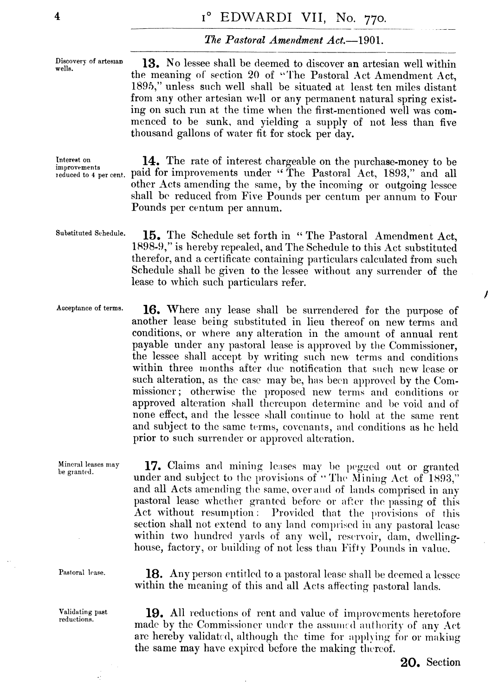#### I<sup>°</sup> EDWARDI VII, No. 770.

#### *The Pastoral Amendment Act.* --1901.

Discovery of artesian<br>wells.

13. No lessee shall be deemed to discover an artesian well within the meaning of section 20 of "The Pastoral Act Amendment Act, 1895," unless such well shall be situated at least ten miles distant from any other artesian well or any permanent natural spring existing on such run at the time when the first-mentioned well was commenced to be sunk, and yielding a supply of not less than five thousand gallons of water fit for stock per day.

Interest on **14.** The rate of interest chargeable on the purchase-money to be improvements<br>reduced to 4 per cent. paid for improvements under "The Pastoral Act, 1893," and all other Acts amending the same, by the incoming or outgoing lessee shall be reduced from Five Pounds per centum per annum to Four Pounds per centum per annum.

Substituted **15.** The Schedule set forth in " The Pastoral Amendment Act, 1898-9," is hereby repealed, and The Schedule to this Act substituted therefor, and a certificate containing particulars calculated from such Schedule shall be given to the lessee without any surrender of the lease to which such particulars refer.

Acceptance of terms. **16.** Where any lease shall be surrendered for the purpose of another lease being substituted in lieu thereof on new terms and conditions, or where any alteration in the amount of annual rent payable under any pastoral lease is approved by the Commissioner, the lessee shall accept by writing such new terms and conditions within three months after due notification that such new lease or such alteration, as the case may be, has been approved by the Commissioner; otherwise the proposed new terms and conditions or approved alteration shall thereupon determine and be void and of none effect, and the lessee shall continue to hold at the same rent and subject to the same terms, covenants, and conditions as he held prior to such surrender or approved alteration.

Mineral leases may **17.** Claims and mining leases may be pegged out or granted be granted. **and subject to the provisions of "**The Mining Act of 1893." and all Acts amending the same, over and of lands comprised in any pastoral lease whether granted before or after the passing of this Act without resumption: Provided that the provisions of this section shall not extend to any land comprised in any pastoral lease within two hundred yards of any well, reservoir, dam, dwellinghouse, factory, or building of not less than Fifty Pounds in value.

Pastoral lease. **18.** Any person entitled to a pastoral lease shall be deemed a lessee within the meaning of this and all Acts affecting pastoral lands.

Validating past **19.** All reductions of rent and value of improvements heretofore made by the Commissioner under the assumed authority of any Act. are hereby validated, although the time for applying for or making the same may have expired before the making thereof.

 $\prime$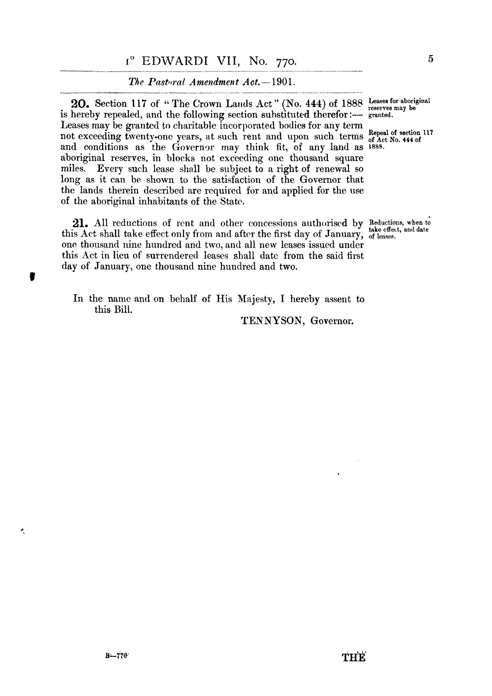### **I"** EDWARDI VII, No. **770. <sup>5</sup>**

#### *The Pastoral Amendment Act.*  $-1901$ .

**20.** Section 117 of "The Crown Lands Act" (No. 444) of 1888 Leases for aboriginal hereby renealed, and the following section substituted therefor  $:$ — granted. is hereby repealed, and the following section substituted therefor :-Leases may be granted to charitable incorporated bodies for any term not exceeding twenty-one years, at such rent and upon such terms of Act No. 444 of and conditions as the Governor may think fit, of any land as 1888. aboriginal reserves, in blocks not exceeding one thousand square miles. Every such lease shall be subject to a right of renewal so long as it can be shown to the satisfaction of the Governor that the lands therein described are required for and applied for the use of the aboriginal inhabitants of the State.

21. All reductions of rent and other concessions authorised by Reductions, when to this Act shall take effect only from and after the first day of January, of leases. one thousand nine hundred and two, and all new leases issued under this Act in lieu of' surrendered leases shall date from the said first day of January, one thousand nine hundred and two.

In the name and on behalf of His Majesty, I hereby assent to this Bill.

TENNYSON, Governor.

**8** 

Æ,